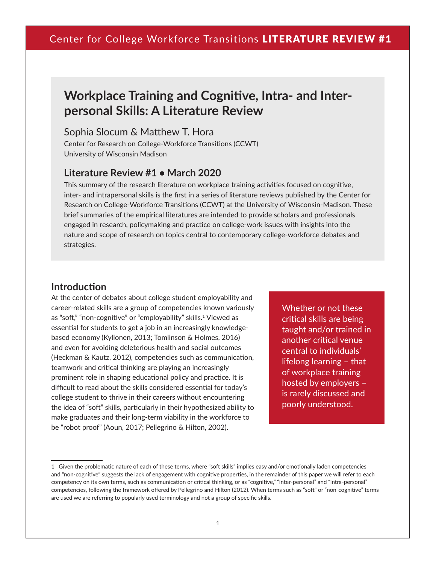# **Workplace Training and Cognitive, Intra- and Interpersonal Skills: A Literature Review**

### Sophia Slocum & Matthew T. Hora

Center for Research on College-Workforce Transitions (CCWT) University of Wisconsin Madison

### **Literature Review #1 • March 2020**

This summary of the research literature on workplace training activities focused on cognitive, inter- and intrapersonal skills is the first in a series of literature reviews published by the Center for Research on College-Workforce Transitions (CCWT) at the University of Wisconsin-Madison. These brief summaries of the empirical literatures are intended to provide scholars and professionals engaged in research, policymaking and practice on college-work issues with insights into the nature and scope of research on topics central to contemporary college-workforce debates and strategies.

### **Introduction**

At the center of debates about college student employability and career-related skills are a group of competencies known variously as "soft," "non-cognitive" or "employability" skills.<sup>1</sup> Viewed as essential for students to get a job in an increasingly knowledgebased economy (Kyllonen, 2013; Tomlinson & Holmes, 2016) and even for avoiding deleterious health and social outcomes (Heckman & Kautz, 2012), competencies such as communication, teamwork and critical thinking are playing an increasingly prominent role in shaping educational policy and practice. It is difficult to read about the skills considered essential for today's college student to thrive in their careers without encountering the idea of "soft" skills, particularly in their hypothesized ability to make graduates and their long-term viability in the workforce to be "robot proof" (Aoun, 2017; Pellegrino & Hilton, 2002).

Whether or not these critical skills are being taught and/or trained in another critical venue central to individuals' lifelong learning – that of workplace training hosted by employers – is rarely discussed and poorly understood.

<sup>1</sup> Given the problematic nature of each of these terms, where "soft skills" implies easy and/or emotionally laden competencies and "non-cognitive" suggests the lack of engagement with cognitive properties, in the remainder of this paper we will refer to each competency on its own terms, such as communication or critical thinking, or as "cognitive," "inter-personal" and "intra-personal" competencies, following the framework offered by Pellegrino and Hilton (2012). When terms such as "soft" or "non-cognitive" terms are used we are referring to popularly used terminology and not a group of specific skills.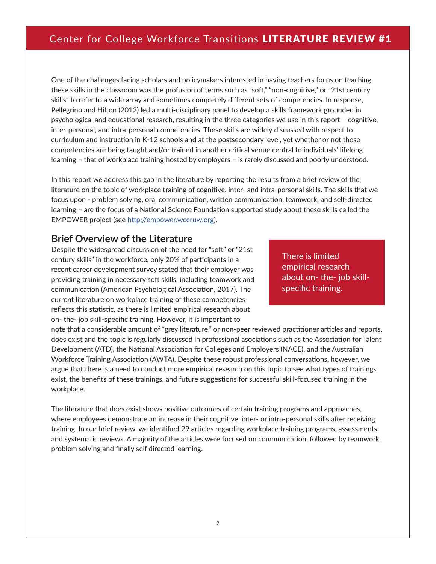One of the challenges facing scholars and policymakers interested in having teachers focus on teaching these skills in the classroom was the profusion of terms such as "soft," "non-cognitive," or "21st century skills" to refer to a wide array and sometimes completely different sets of competencies. In response, Pellegrino and Hilton (2012) led a multi-disciplinary panel to develop a skills framework grounded in psychological and educational research, resulting in the three categories we use in this report – cognitive, inter-personal, and intra-personal competencies. These skills are widely discussed with respect to curriculum and instruction in K-12 schools and at the postsecondary level, yet whether or not these competencies are being taught and/or trained in another critical venue central to individuals' lifelong learning – that of workplace training hosted by employers – is rarely discussed and poorly understood.

In this report we address this gap in the literature by reporting the results from a brief review of the literature on the topic of workplace training of cognitive, inter- and intra-personal skills. The skills that we focus upon - problem solving, oral communication, written communication, teamwork, and self-directed learning – are the focus of a National Science Foundation supported study about these skills called the EMPOWER project (see<http://empower.wceruw.org>).

### **Brief Overview of the Literature**

Despite the widespread discussion of the need for "soft" or "21st century skills" in the workforce, only 20% of participants in a recent career development survey stated that their employer was providing training in necessary soft skills, including teamwork and communication (American Psychological Association, 2017). The current literature on workplace training of these competencies reflects this statistic, as there is limited empirical research about on- the- job skill-specific training. However, it is important to

There is limited empirical research about on- the- job skillspecific training.

note that a considerable amount of "grey literature," or non-peer reviewed practitioner articles and reports, does exist and the topic is regularly discussed in professional asociations such as the Association for Talent Development (ATD), the National Association for Colleges and Employers (NACE), and the Australian Workforce Training Association (AWTA). Despite these robust professional conversations, however, we argue that there is a need to conduct more empirical research on this topic to see what types of trainings exist, the benefits of these trainings, and future suggestions for successful skill-focused training in the workplace.

The literature that does exist shows positive outcomes of certain training programs and approaches, where employees demonstrate an increase in their cognitive, inter- or intra-personal skills after receiving training. In our brief review, we identified 29 articles regarding workplace training programs, assessments, and systematic reviews. A majority of the articles were focused on communication, followed by teamwork, problem solving and finally self directed learning.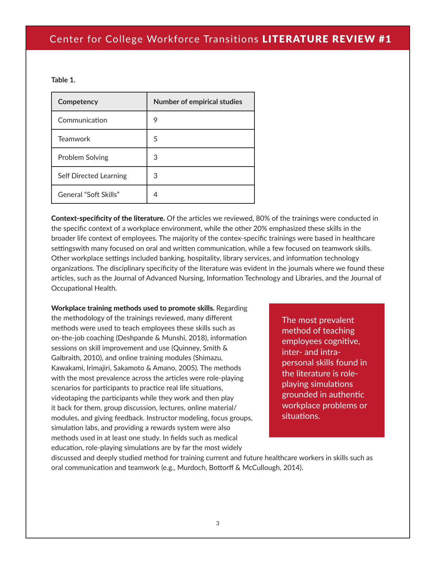#### **Table 1.**

| Competency             | <b>Number of empirical studies</b> |
|------------------------|------------------------------------|
| Communication          | 9                                  |
| <b>Teamwork</b>        | 5                                  |
| Problem Solving        | 3                                  |
| Self Directed Learning | 3                                  |
| General "Soft Skills"  | 4                                  |

Context-specificity of the literature. Of the articles we reviewed, 80% of the trainings were conducted in the specific context of a workplace environment, while the other 20% emphasized these skills in the broader life context of employees. The majority of the contex-specific trainings were based in healthcare settingswith many focused on oral and written communication, while a few focused on teamwork skills. Other workplace settings included banking, hospitality, library services, and information technology organizations. The disciplinary specificity of the literature was evident in the journals where we found these articles, such as the Journal of Advanced Nursing, Information Technology and Libraries, and the Journal of Occupational Health.

Workplace training methods used to promote skills. Regarding the methodology of the trainings reviewed, many different methods were used to teach employees these skills such as on-the-job coaching (Deshpande & Munshi, 2018), information sessions on skill improvement and use (Quinney, Smith & Galbraith, 2010), and online training modules (Shimazu, Kawakami, Irimajiri, Sakamoto & Amano, 2005). The methods with the most prevalence across the articles were role-playing scenarios for participants to practice real life situations, videotaping the participants while they work and then play it back for them, group discussion, lectures, online material/ modules, and giving feedback. Instructor modeling, focus groups, simulation labs, and providing a rewards system were also methods used in at least one study. In fields such as medical education, role-playing simulations are by far the most widely

The most prevalent method of teaching employees cognitive, inter- and intrapersonal skills found in the literature is roleplaying simulations grounded in authentic workplace problems or situations.

discussed and deeply studied method for training current and future healthcare workers in skills such as oral communication and teamwork (e.g., Murdoch, Bottorff & McCullough, 2014).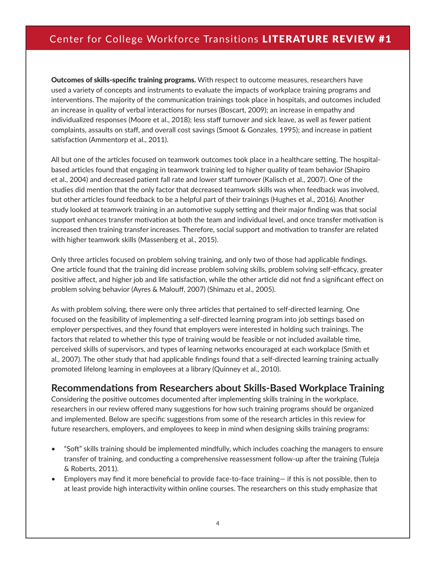Outcomes of skills-specific training programs. With respect to outcome measures, researchers have used a variety of concepts and instruments to evaluate the impacts of workplace training programs and interventions. The majority of the communication trainings took place in hospitals, and outcomes included an increase in quality of verbal interactions for nurses (Boscart, 2009); an increase in empathy and individualized responses (Moore et al., 2018); less staff turnover and sick leave, as well as fewer patient complaints, assaults on staff, and overall cost savings (Smoot & Gonzales, 1995); and increase in patient satisfaction (Ammentorp et al., 2011).

All but one of the articles focused on teamwork outcomes took place in a healthcare setting. The hospitalbased articles found that engaging in teamwork training led to higher quality of team behavior (Shapiro et al., 2004) and decreased patient fall rate and lower staff turnover (Kalisch et al., 2007). One of the studies did mention that the only factor that decreased teamwork skills was when feedback was involved, but other articles found feedback to be a helpful part of their trainings (Hughes et al., 2016). Another study looked at teamwork training in an automotive supply setting and their major finding was that social support enhances transfer motivation at both the team and individual level, and once transfer motivation is increased then training transfer increases. Therefore, social support and motivation to transfer are related with higher teamwork skills (Massenberg et al., 2015).

Only three articles focused on problem solving training, and only two of those had applicable findings. One article found that the training did increase problem solving skills, problem solving self-efficacy, greater positive affect, and higher job and life satisfaction, while the other article did not find a significant effect on problem solving behavior (Ayres & Malouff, 2007) (Shimazu et al., 2005).

As with problem solving, there were only three articles that pertained to self-directed learning. One focused on the feasibility of implementing a self-directed learning program into job settings based on employer perspectives, and they found that employers were interested in holding such trainings. The factors that related to whether this type of training would be feasible or not included available time, perceived skills of supervisors, and types of learning networks encouraged at each workplace (Smith et al., 2007). The other study that had applicable findings found that a self-directed learning training actually promoted lifelong learning in employees at a library (Quinney et al., 2010).

### **Recommendations from Researchers about Skills-Based Workplace Training**

Considering the positive outcomes documented after implementing skills training in the workplace, researchers in our review offered many suggestions for how such training programs should be organized and implemented. Below are specific suggestions from some of the research articles in this review for future researchers, employers, and employees to keep in mind when designing skills training programs:

- "Soft" skills training should be implemented mindfully, which includes coaching the managers to ensure transfer of training, and conducting a comprehensive reassessment follow-up after the training (Tuleja & Roberts, 2011).
- Employers may find it more beneficial to provide face-to-face training— if this is not possible, then to at least provide high interactivity within online courses. The researchers on this study emphasize that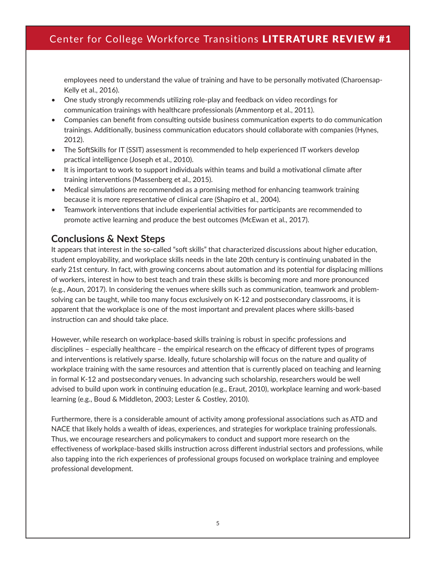employees need to understand the value of training and have to be personally motivated (Charoensap-Kelly et al., 2016).

- One study strongly recommends utilizing role-play and feedback on video recordings for communication trainings with healthcare professionals (Ammentorp et al., 2011).
- Companies can benefit from consulting outside business communication experts to do communication trainings. Additionally, business communication educators should collaborate with companies (Hynes, 2012).
- The SoftSkills for IT (SSIT) assessment is recommended to help experienced IT workers develop practical intelligence (Joseph et al., 2010).
- It is important to work to support individuals within teams and build a motivational climate after training interventions (Massenberg et al., 2015).
- Medical simulations are recommended as a promising method for enhancing teamwork training because it is more representative of clinical care (Shapiro et al., 2004).
- Teamwork interventions that include experiential activities for participants are recommended to promote active learning and produce the best outcomes (McEwan et al., 2017).

## **Conclusions & Next Steps**

It appears that interest in the so-called "soft skills" that characterized discussions about higher education, student employability, and workplace skills needs in the late 20th century is continuing unabated in the early 21st century. In fact, with growing concerns about automation and its potential for displacing millions of workers, interest in how to best teach and train these skills is becoming more and more pronounced (e.g., Aoun, 2017). In considering the venues where skills such as communication, teamwork and problemsolving can be taught, while too many focus exclusively on K-12 and postsecondary classrooms, it is apparent that the workplace is one of the most important and prevalent places where skills-based instruction can and should take place.

However, while research on workplace-based skills training is robust in specific professions and disciplines – especially healthcare – the empirical research on the efficacy of different types of programs and interventions is relatively sparse. Ideally, future scholarship will focus on the nature and quality of workplace training with the same resources and attention that is currently placed on teaching and learning in formal K-12 and postsecondary venues. In advancing such scholarship, researchers would be well advised to build upon work in continuing education (e.g., Eraut, 2010), workplace learning and work-based learning (e.g., Boud & Middleton, 2003; Lester & Costley, 2010).

Furthermore, there is a considerable amount of activity among professional associations such as ATD and NACE that likely holds a wealth of ideas, experiences, and strategies for workplace training professionals. Thus, we encourage researchers and policymakers to conduct and support more research on the effectiveness of workplace-based skills instruction across different industrial sectors and professions, while also tapping into the rich experiences of professional groups focused on workplace training and employee professional development.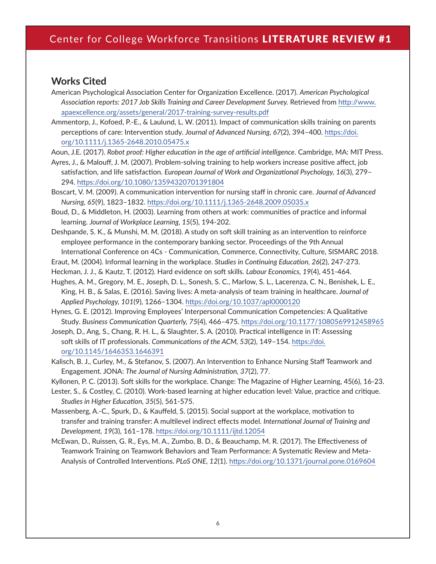### **Works Cited**

- American Psychological Association Center for Organization Excellence. (2017). *American Psychological Association reports: 2017 Job Skills Training and Career Development Survey.* Retrieved from [http://www.](http://www.apaexcellence.org/assets/general/2017-training-survey-results.pdf) [apaexcellence.org/assets/general/2017-training-survey-results.pdf](http://www.apaexcellence.org/assets/general/2017-training-survey-results.pdf)
- Ammentorp, J., Kofoed, P.-E., & Laulund, L. W. (2011). Impact of communication skills training on parents perceptions of care: Intervention study. *Journal of Advanced Nursing, 67*(2), 394–400. [https://doi.](https://doi.org/10.1111/j.1365-2648.2010.05475.x) [org/10.1111/j.1365-2648.2010.05475.x](https://doi.org/10.1111/j.1365-2648.2010.05475.x)
- Aoun, J.E. (2017). *Robot proof: Higher education in the age of artificial intelligence.* Cambridge, MA: MIT Press.
- Ayres, J., & Malouff, J. M. (2007). Problem-solving training to help workers increase positive affect, job satisfaction, and life satisfaction. *European Journal of Work and Organizational Psychology, 16*(3), 279– 294.<https://doi.org/10.1080/13594320701391804>
- Boscart, V. M. (2009). A communication intervention for nursing staff in chronic care. *Journal of Advanced Nursing, 65*(9), 1823–1832. <https://doi.org/10.1111/j.1365-2648.2009.05035.x>
- Boud, D., & Middleton, H. (2003). Learning from others at work: communities of practice and informal learning. *Journal of Workplace Learning, 15*(5), 194-202.
- Deshpande, S. K., & Munshi, M. M. (2018). A study on soft skill training as an intervention to reinforce employee performance in the contemporary banking sector. Proceedings of the 9th Annual International Conference on 4Cs - Communication, Commerce, Connectivity, Culture, SISMARC 2018.
- Eraut, M. (2004). Informal learning in the workplace. *Studies in Continuing Education, 26*(2), 247-273.
- Heckman, J. J., & Kautz, T. (2012). Hard evidence on soft skills. *Labour Economics, 19*(4), 451-464.
- Hughes, A. M., Gregory, M. E., Joseph, D. L., Sonesh, S. C., Marlow, S. L., Lacerenza, C. N., Benishek, L. E., King, H. B., & Salas, E. (2016). Saving lives: A meta-analysis of team training in healthcare. *Journal of Applied Psychology, 101*(9), 1266–1304. <https://doi.org/10.1037/apl0000120>
- Hynes, G. E. (2012). Improving Employees' Interpersonal Communication Competencies: A Qualitative Study. *Business Communication Quarterly, 75*(4), 466–475. <https://doi.org/10.1177/1080569912458965>
- Joseph, D., Ang, S., Chang, R. H. L., & Slaughter, S. A. (2010). Practical intelligence in IT: Assessing soft skills of IT professionals. *Communications of the ACM, 53*(2), 149–154. [https://doi.](https://doi.org/10.1145/1646353.1646391) [org/10.1145/1646353.1646391](https://doi.org/10.1145/1646353.1646391)
- Kalisch, B. J., Curley, M., & Stefanov, S. (2007). An Intervention to Enhance Nursing Staff Teamwork and Engagement. JONA: *The Journal of Nursing Administration, 37*(2), 77.
- Kyllonen, P. C. (2013). Soft skills for the workplace. Change: The Magazine of Higher Learning, 45(6), 16-23.
- Lester, S., & Costley, C. (2010). Work‐based learning at higher education level: Value, practice and critique. *Studies in Higher Education, 35*(5), 561-575.
- Massenberg, A.-C., Spurk, D., & Kauffeld, S. (2015). Social support at the workplace, motivation to transfer and training transfer: A multilevel indirect effects model. *International Journal of Training and Development, 19*(3), 161–178.<https://doi.org/10.1111/ijtd.12054>
- McEwan, D., Ruissen, G. R., Eys, M. A., Zumbo, B. D., & Beauchamp, M. R. (2017). The Effectiveness of Teamwork Training on Teamwork Behaviors and Team Performance: A Systematic Review and Meta-Analysis of Controlled Interventions. *PLoS ONE, 12*(1). <https://doi.org/10.1371/journal.pone.0169604>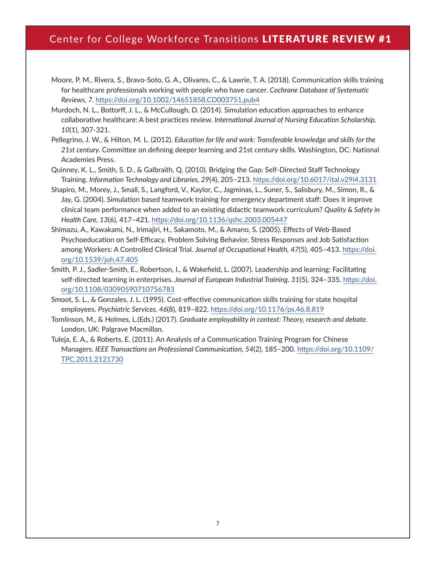- Moore, P. M., Rivera, S., Bravo‐Soto, G. A., Olivares, C., & Lawrie, T. A. (2018). Communication skills training for healthcare professionals working with people who have cancer. *Cochrane Database of Systematic Reviews, 7.* <https://doi.org/10.1002/14651858.CD003751.pub4>
- Murdoch, N. L., Bottorff, J. L., & McCullough, D. (2014). Simulation education approaches to enhance collaborative healthcare: A best practices review. *International Journal of Nursing Education Scholarship, 10*(1), 307-321.
- Pellegrino, J. W., & Hilton, M. L. (2012). *Education for life and work: Transferable knowledge and skills for the 21st century.* Committee on defining deeper learning and 21st century skills. Washington, DC: National Academies Press.
- Quinney, K. L., Smith, S. D., & Galbraith, Q. (2010). Bridging the Gap: Self-Directed Staff Technology Training. *Information Technology and Libraries, 29*(4), 205–213. <https://doi.org/10.6017/ital.v29i4.3131>
- Shapiro, M., Morey, J., Small, S., Langford, V., Kaylor, C., Jagminas, L., Suner, S., Salisbury, M., Simon, R., & Jay, G. (2004). Simulation based teamwork training for emergency department staff: Does it improve clinical team performance when added to an existing didactic teamwork curriculum? *Quality & Safety in Health Care, 13*(6), 417–421.<https://doi.org/10.1136/qshc.2003.005447>
- Shimazu, A., Kawakami, N., Irimajiri, H., Sakamoto, M., & Amano, S. (2005). Effects of Web-Based Psychoeducation on Self-Efficacy, Problem Solving Behavior, Stress Responses and Job Satisfaction among Workers: A Controlled Clinical Trial. *Journal of Occupational Health, 47*(5), 405–413. [https://doi.](https://doi.org/10.1539/joh.47.405) [org/10.1539/joh.47.405](https://doi.org/10.1539/joh.47.405)
- Smith, P. J., Sadler‐Smith, E., Robertson, I., & Wakefield, L. (2007). Leadership and learning: Facilitating self‐directed learning in enterprises. *Journal of European Industrial Training, 31*(5), 324–335. [https://doi.](https://doi.org/10.1108/03090590710756783) [org/10.1108/03090590710756783](https://doi.org/10.1108/03090590710756783)
- Smoot, S. L., & Gonzales, J. L. (1995). Cost-effective communication skills training for state hospital employees. *Psychiatric Services, 46*(8), 819–822.<https://doi.org/10.1176/ps.46.8.819>
- Tomlinson, M., & Holmes, L.(Eds.) (2017). *Graduate employability in context: Theory, research and debate.*  London, UK: Palgrave Macmillan.
- Tuleja, E. A., & Roberts, E. (2011). An Analysis of a Communication Training Program for Chinese Managers. *IEEE Transactions on Professional Communication, 54*(2), 185–200. [https://doi.org/10.1109/](https://doi.org/10.1109/TPC.2011.2121730) [TPC.2011.2121730](https://doi.org/10.1109/TPC.2011.2121730)